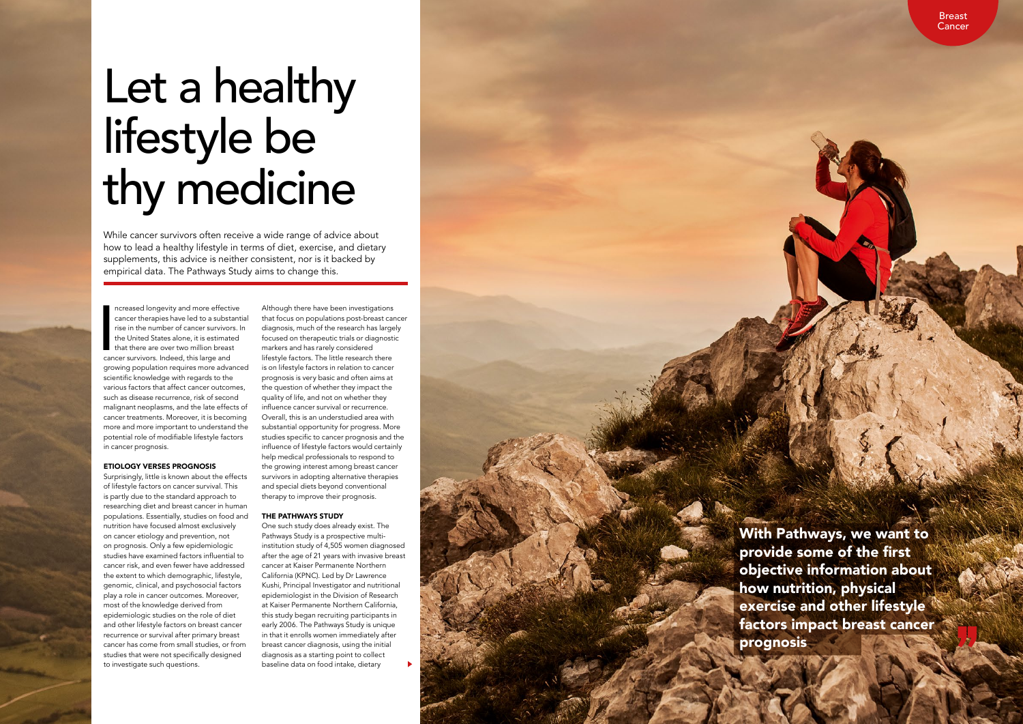# Let a healthy lifestyle be thy medicine

While cancer survivors often receive a wide range of advice about how to lead a healthy lifestyle in terms of diet, exercise, and dietary supplements, this advice is neither consistent, nor is it backed by empirical data. The Pathways Study aims to change this.

**I**<br>I<br>Can ncreased longevity and more effective cancer therapies have led to a substantial rise in the number of cancer survivors. In the United States alone, it is estimated that there are over two million breast cancer survivors. Indeed, this large and growing population requires more advanced scientific knowledge with regards to the various factors that affect cancer outcomes, such as disease recurrence, risk of second malignant neoplasms, and the late effects of cancer treatments. Moreover, it is becoming more and more important to understand the potential role of modifiable lifestyle factors in cancer prognosis.

# ETIOLOGY VERSES PROGNOSIS

Surprisingly, little is known about the effects of lifestyle factors on cancer survival. This is partly due to the standard approach to researching diet and breast cancer in human populations. Essentially, studies on food and nutrition have focused almost exclusively on cancer etiology and prevention, not on prognosis. Only a few epidemiologic studies have examined factors influential to cancer risk, and even fewer have addressed the extent to which demographic, lifestyle, genomic, clinical, and psychosocial factors play a role in cancer outcomes. Moreover, most of the knowledge derived from epidemiologic studies on the role of diet and other lifestyle factors on breast cancer recurrence or survival after primary breast cancer has come from small studies, or from studies that were not specifically designed to investigate such questions.

Although there have been investigations that focus on populations post-breast cancer diagnosis, much of the research has largely focused on therapeutic trials or diagnostic markers and has rarely considered lifestyle factors. The little research there is on lifestyle factors in relation to cancer prognosis is very basic and often aims at the question of whether they impact the quality of life, and not on whether they influence cancer survival or recurrence. Overall, this is an understudied area with substantial opportunity for progress. More studies specific to cancer prognosis and the influence of lifestyle factors would certainly help medical professionals to respond to the growing interest among breast cancer survivors in adopting alternative therapies and special diets beyond conventional therapy to improve their prognosis.

### THE PATHWAYS STUDY

One such study does already exist. The Pathways Study is a prospective multiinstitution study of 4,505 women diagnosed after the age of 21 years with invasive breast cancer at Kaiser Permanente Northern California (KPNC). Led by Dr Lawrence Kushi, Principal Investigator and nutritional epidemiologist in the Division of Research at Kaiser Permanente Northern California, this study began recruiting participants in early 2006. The Pathways Study is unique in that it enrolls women immediately after breast cancer diagnosis, using the initial diagnosis as a starting point to collect baseline data on food intake, dietary

With Pathways, we want to provide some of the first objective information about how nutrition, physical exercise and other lifestyle factors impact breast cancer prognosis